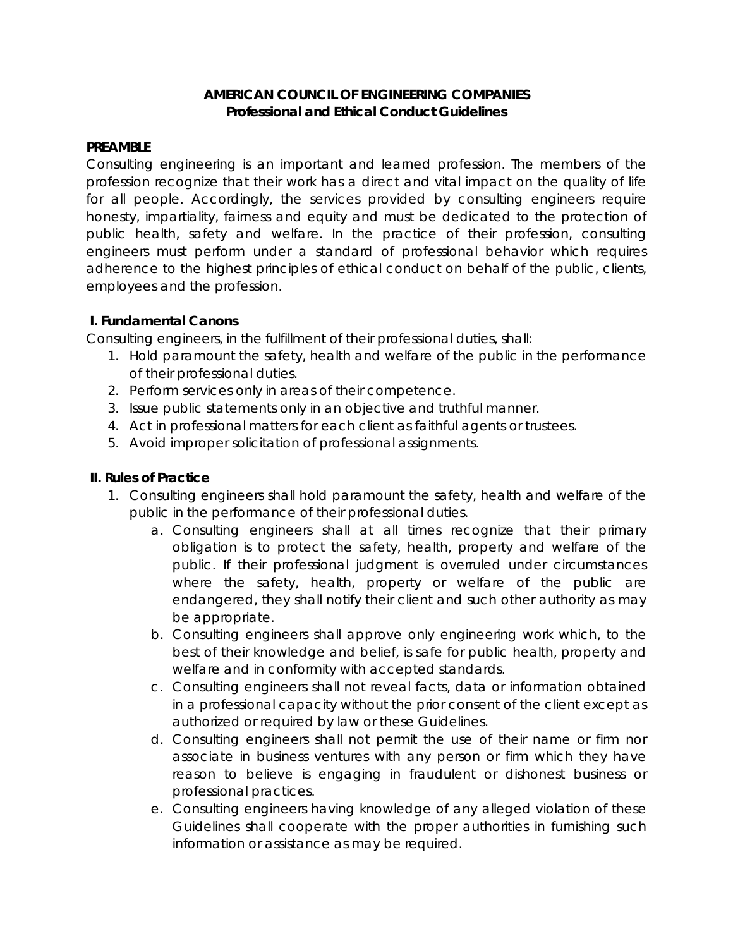# **AMERICAN COUNCIL OF ENGINEERING COMPANIES Professional and Ethical Conduct Guidelines**

## **PREAMBLE**

Consulting engineering is an important and learned profession. The members of the profession recognize that their work has a direct and vital impact on the quality of life for all people. Accordingly, the services provided by consulting engineers require honesty, impartiality, fairness and equity and must be dedicated to the protection of public health, safety and welfare. In the practice of their profession, consulting engineers must perform under a standard of professional behavior which requires adherence to the highest principles of ethical conduct on behalf of the public, clients, employees and the profession.

## **I. Fundamental Canons**

Consulting engineers, in the fulfillment of their professional duties, shall:

- 1. Hold paramount the safety, health and welfare of the public in the performance of their professional duties.
- 2. Perform services only in areas of their competence.
- 3. Issue public statements only in an objective and truthful manner.
- 4. Act in professional matters for each client as faithful agents or trustees.
- 5. Avoid improper solicitation of professional assignments.

### **II. Rules of Practice**

- 1. Consulting engineers shall hold paramount the safety, health and welfare of the public in the performance of their professional duties.
	- a. Consulting engineers shall at all times recognize that their primary obligation is to protect the safety, health, property and welfare of the public. If their professional judgment is overruled under circumstances where the safety, health, property or welfare of the public are endangered, they shall notify their client and such other authority as may be appropriate.
	- b. Consulting engineers shall approve only engineering work which, to the best of their knowledge and belief, is safe for public health, property and welfare and in conformity with accepted standards.
	- c. Consulting engineers shall not reveal facts, data or information obtained in a professional capacity without the prior consent of the client except as authorized or required by law or these Guidelines.
	- d. Consulting engineers shall not permit the use of their name or firm nor associate in business ventures with any person or firm which they have reason to believe is engaging in fraudulent or dishonest business or professional practices.
	- e. Consulting engineers having knowledge of any alleged violation of these Guidelines shall cooperate with the proper authorities in furnishing such information or assistance as may be required.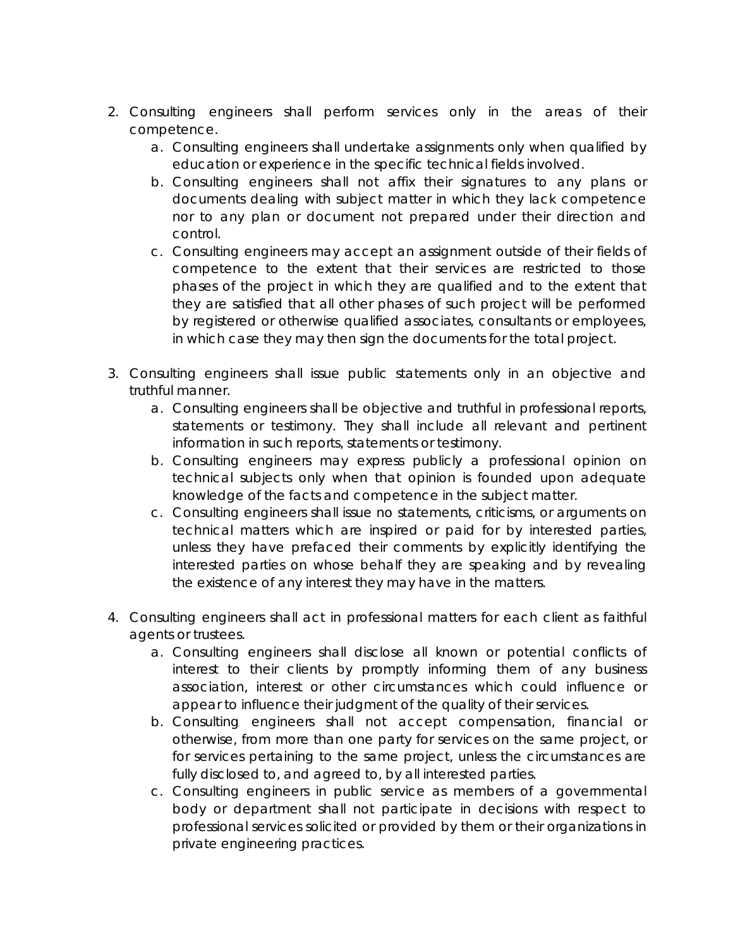- 2. Consulting engineers shall perform services only in the areas of their competence.
	- a. Consulting engineers shall undertake assignments only when qualified by education or experience in the specific technical fields involved.
	- b. Consulting engineers shall not affix their signatures to any plans or documents dealing with subject matter in which they lack competence nor to any plan or document not prepared under their direction and control.
	- c. Consulting engineers may accept an assignment outside of their fields of competence to the extent that their services are restricted to those phases of the project in which they are qualified and to the extent that they are satisfied that all other phases of such project will be performed by registered or otherwise qualified associates, consultants or employees, in which case they may then sign the documents for the total project.
- 3. Consulting engineers shall issue public statements only in an objective and truthful manner.
	- a. Consulting engineers shall be objective and truthful in professional reports, statements or testimony. They shall include all relevant and pertinent information in such reports, statements or testimony.
	- b. Consulting engineers may express publicly a professional opinion on technical subjects only when that opinion is founded upon adequate knowledge of the facts and competence in the subject matter.
	- c. Consulting engineers shall issue no statements, criticisms, or arguments on technical matters which are inspired or paid for by interested parties, unless they have prefaced their comments by explicitly identifying the interested parties on whose behalf they are speaking and by revealing the existence of any interest they may have in the matters.
- 4. Consulting engineers shall act in professional matters for each client as faithful agents or trustees.
	- a. Consulting engineers shall disclose all known or potential conflicts of interest to their clients by promptly informing them of any business association, interest or other circumstances which could influence or appear to influence their judgment of the quality of their services.
	- b. Consulting engineers shall not accept compensation, financial or otherwise, from more than one party for services on the same project, or for services pertaining to the same project, unless the circumstances are fully disclosed to, and agreed to, by all interested parties.
	- c. Consulting engineers in public service as members of a governmental body or department shall not participate in decisions with respect to professional services solicited or provided by them or their organizations in private engineering practices.